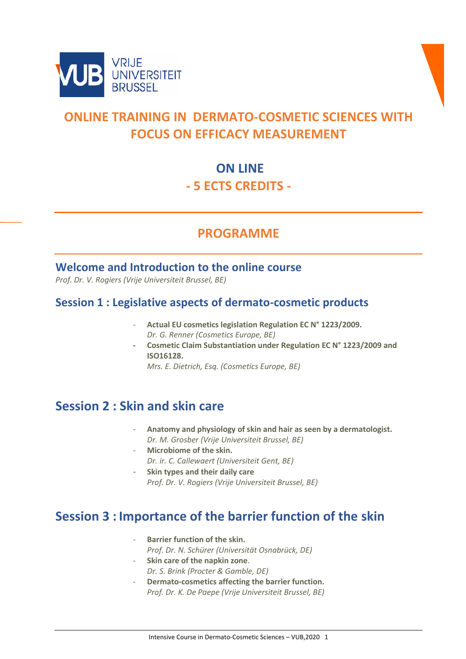



# **ONLINE TRAINING IN DERMATO-COSMETIC SCIENCES WITH FOCUS ON EFFICACY MEASUREMENT**

## **ON LINE - 5 ECTS CREDITS -**

### **PROGRAMME**

#### **Welcome and Introduction to the online course**

*Prof. Dr. V. Rogiers (Vrije Universiteit Brussel, BE)*

#### **Session 1 : Legislative aspects of dermato-cosmetic products**

- **Actual EU cosmetics legislation Regulation EC N° 1223/2009.** *Dr. G. Renner (Cosmetics Europe, BE)*
- **Cosmetic Claim Substantiation under Regulation EC N° 1223/2009 and ISO16128.**

*Mrs. E. Dietrich, Esq. (Cosmetics Europe, BE)* 

#### **Session 2 : Skin and skin care**

- **Anatomy and physiology of skin and hair as seen by a dermatologist.** *Dr. M. Grosber (Vrije Universiteit Brussel, BE)*
- **Microbiome of the skin.** *Dr. ir. C. Callewaert (Universiteit Gent, BE)*
	- **Skin types and their daily care** *Prof. Dr. V. Rogiers (Vrije Universiteit Brussel, BE)*

## **Session 3 : Importance of the barrier function of the skin**

- **Barrier function of the skin.** *Prof. Dr. N. Schürer (Universität Osnabrück, DE)*
- **Skin care of the napkin zone**. *Dr. S. Brink (Procter & Gamble, DE)*
	- Dermato-cosmetics affecting the barrier function. *Prof. Dr. K. De Paepe (Vrije Universiteit Brussel, BE)*